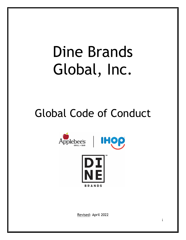# Dine Brands Global, Inc.

# Global Code of Conduct



Revised: April 2022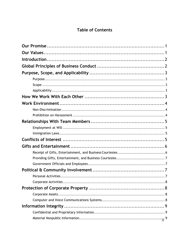# **Table of Contents**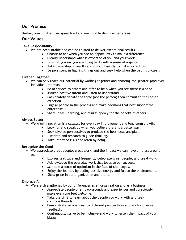# <span id="page-3-0"></span>**Our Promise**

Uniting communities over great food and memorable dining experiences.

# <span id="page-3-1"></span>**Our Values**

#### **Take Responsibility**

- $\triangleright$  We are accountable and can be trusted to deliver exceptional results.
	- Choose to act when you see an opportunity to make a difference.
	- Clearly understand what is expected of you and your work.
	- Do what you say you are going to do with a sense of urgency.
	- Take ownership of results and work diligently to make corrections.
	- Be persistent in figuring things out and seek help when the path is unclear.

#### **Further Together**

- $\triangleright$  We can only reach our potential by working together and choosing the greater good over individual interests.
	- Be of service to others and offer to help when you see there is a need.
	- Assume positive intent and listen to understand.
	- Passionately debate the topic (not the person) then commit to the chosen direction.
	- Engage people in the process and make decisions that best support the enterprise.
	- Share ideas, learning, and results openly for the benefit of others.

#### **Always Better**

- $\triangleright$  We know innovation is a catalyst for everyday improvement and long-term growth.
	- Look for and speak up when you believe there is a better way.
	- Seek diverse perspectives to produce the best ideas and plan.
	- Use data and research to guide thinking.
	- Take informed risks and learn by doing.

#### **Recognize the Good**

 $\triangleright$  We appreciate great people, great work, and the impact we can have on those around us.

- Express gratitude and frequently celebrate wins, people, and great work.
- Acknowledge the everyday work that leads to our success.
- Maintain a sense of optimism in the face of challenges.
- Enjoy the journey by adding positive energy and fun to the environment.
- Show pride in our organization and brand.

#### **Embrace All**

- $\triangleright$  We are strengthened by our differences as an organization and as a business.
	- Appreciate people of all backgrounds and experiences and consciously make everyone feel welcome.
	- Take the time to learn about the people you work with and seek common threads.
	- Demonstrate an openness to different perspectives and ask for diverse feedback.
	- Continuously strive to be inclusive and work to lessen the impact of your biases.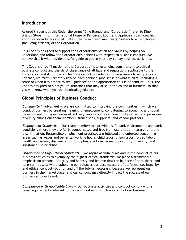### <span id="page-4-0"></span>**Introduction**

As used throughout this Code, the terms "Dine Brands" and "Corporation" refer to Dine Brands Global, Inc., International House of Pancakes, LLC., and Applebee's Services, Inc. and their subsidiaries and affiliates. The term "team member(s)" refers to all employees (including officers) of the Corporation.

This Code is designed to support the Corporation's vision and values by helping you understand and follow the Corporation's policies with respect to business conduct. We believe that it will provide a useful guide to you in your day-to-day business activities.

This Code is a reaffirmation of the Corporation's longstanding commitment to ethical business conduct and the strict observance of all laws and regulations applicable to the Corporation and its business. The Code cannot provide definitive answers to all questions. For that, we must ultimately rely on each person's good sense of what is right, including a sense of when it is proper to seek guidance on the appropriate course of conduct. Thus, the Code is designed to alert you to situations that may arise in the course of business, so that you will know when you should obtain guidance.

# <span id="page-4-1"></span>**Global Principles of Business Conduct**

*Community Involvement* — We are committed to improving the communities in which we conduct business by creating meaningful employment, contributing to economic and social development, using resources effectively, supporting local community values, and promoting diversity among our team members, franchisees, suppliers, and vendor partners.

*Employment Standards* — Our team members are provided safe work environments and work conditions where they are fairly compensated and free from exploitation, harassment, and discrimination. Responsible employment practices are followed and enforced concerning areas such as wages and benefits, working hours, child labor, prison labor, forced labor, health and safety, discrimination, disciplinary actions, equal opportunity, diversity, and substance use or abuse.

*Observance of High Ethical Standards* — We aspire as individuals and in the conduct of our business activities to exemplify the highest ethical standards. We place a tremendous emphasis on personal integrity and honesty and believe that the balance of both short- and long-term results while upholding our values is our best measure of performance. Integrity and ethical conduct—both on and off the job—is necessary, because we represent our business in the marketplace, and our conduct may directly impact the success of our business and our brand*.*

*Compliance with Applicable Laws* — Our business activities and conduct comply with all legal requirements relevant to the communities in which we conduct our business.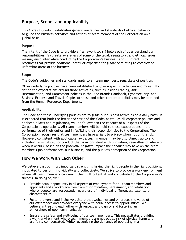# <span id="page-5-0"></span>**Purpose, Scope, and Applicability**

This Code of Conduct establishes general guidelines and standards of ethical behavior to guide the business activities and actions of team members of the Corporation on a global basis.

#### <span id="page-5-1"></span>**Purpose**

The intent of the Code is to provide a framework to: (1) help each of us understand our responsibilities; (2) create awareness of some of the legal, regulatory, and ethical issues we may encounter while conducting the Corporation's business; and (3) direct us to resources that provide additional detail or expertise for guidancerelating to complex or unfamiliar areas of the business.

#### <span id="page-5-2"></span>**Scope**

The Code's guidelines and standards apply to all team members, regardless of position.

Other underlying policies have been established to govern specific activities and more fully define the expectations around those activities, such as Insider Trading, Anti-Discrimination, and Harassment policies in the Dine Brands Handbook, Cybersecurity, and Business Expense and Travel. Copies of these and other corporate policies may be obtained from the Human Resources Department.

#### <span id="page-5-3"></span>**Applicability**

The Code and these underlying policies are to guide our business activities on a daily basis. It is expected that both the letter and spirit of this Code, as well as all corporate policies and applicable laws and regulations, will be followed in the conduct of all aspects of the Corporation's operations. All team members will be held to these expectations in the performance of their duties and in fulfilling their responsibilities to the Corporation. The Corporation recognizes that team members have a right to privacy when not on the job. However, consistent with applicable law, a team member may be disciplined, up to and including termination, for conduct that is inconsistent with our values, regardless of where or when it occurs, based on the potential negative impact the conduct may have on the team member's job performance, our business, and the public's perception of the Corporation.

# <span id="page-5-4"></span>**How We Work With Each Other**

We believe that our most important strength is having the right people in the right positions, motivated to perform individually and collectively. We strive to provide a work environment where all team members can reach their full potential and contribute to the Corporation's success. In doing so, we:

- Provide equal opportunity in all aspects of employment for all team members and applicants and a workplace free from discrimination, harassment, andretaliation, where people are respected, regardless of individual differences, talents, or characteristics.
- Foster a diverse and inclusive culture that welcomes and embraces the value of our differences and provides everyone with equal access to opportunities. We believe in treating each other with respect and dignity and fostering an atmosphere of open communication.
- Ensure the safety and well-being of our team members. This necessitates providing a work environment where team members are not put at risk of physical harm and are fairly compensated. While recognizing the demands of operating in a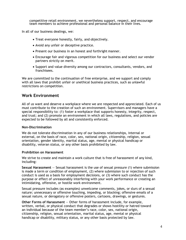competitive retail environment, we nevertheless support, respect, and encourage team members to achieve professional and personal balance in their lives.

In all of our business dealings, we:

- Treat everyone honestly, fairly, and objectively.
- Avoid any unfair or deceptive practice.
- Present our business in an honest and forthright manner.
- Encourage fair and vigorous competition for our business and select our vendor partners strictly on merit.
- Support and value diversity among our contractors, consultants, vendors, and franchisees.

We are committed to the continuation of free enterprise, and we support and comply with all laws that prohibit unfair or unethical business practices, such as unlawful restrictions on competition.

## <span id="page-6-0"></span>**Work Environment**

All of us want and deserve a workplace where we are respected and appreciated. Each of us must contribute to the creation of such an environment. Supervisors and managers have a special responsibility to: (1) foster a workplace that supports honesty, integrity, respect, and trust; and (2) promote an environment in which all laws, regulations, and policies are expected to be followed by all and consistently enforced.

#### <span id="page-6-1"></span>**Non-Discrimination**

We do not tolerate discrimination in any of our business relationships, internal or external, on the basis of race, color, sex, national origin, citizenship, religion, sexual orientation, gender identity, marital status, age, mental or physical handicap or disability, veteran status, or any other basis prohibited by law.

#### <span id="page-6-2"></span>**Prohibition on Harassment**

We strive to create and maintain a work culture that is free of harassment of any kind, including:

**Sexual Harassment** — Sexual harassment is the use of sexual pressure (1) where submission is made a term or condition of employment, (2) where submission to or rejection of such conduct is used as a basis for employment decisions, or (3) where such conduct has the purpose or effect of unreasonably interfering with your work performance or creating an intimidating, offensive, or hostile work environment.

Sexual pressure includes (as examples) unwelcome comments, jokes, or slurs of a sexual nature; unnecessary or offensive touching, impeding, or blocking; offensive emails of a sexual nature, or derogatory or offensive posters, cartoons, drawings, or gestures.

**Other Forms of Harassment** — Other forms of harassment include, for example, written, verbal, or physical conduct that degrades or shows hostility or hatred toward an individual because of the team member's race, color, sex, national origin, citizenship, religion, sexual orientation, marital status, age, mental or physical handicap or disability, military status, or any other basis protected by law.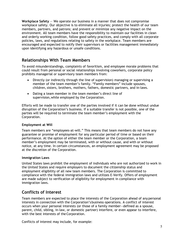**Workplace Safety** — We operate our business in a manner that does not compromise workplace safety. Our objective is to eliminate all injuries; protect the health of our team members, partners, and patrons; and prevent or minimize any negative impact on the environment. All team members have the responsibility to maintain our facilities in clean and orderly working condition, follow good safety practices, and comply with all corporate policies, laws, and regulations relating to safety in the workplace. Team members are encouraged and expected to notify their supervisors or facilities management immediately upon identifying any hazardous or unsafe conditions.

# <span id="page-7-0"></span>**Relationships With Team Members**

To avoid misunderstandings, complaints of favoritism, and employee morale problems that could result from personal or social relationships involving coworkers, corporate policy prohibits managerial or supervisory team members from:

- Directly (or indirectly through the line of supervision) managing or supervising a member of the team member's family. "Family members" include spouses, children, sisters, brothers, mothers, fathers, domestic partners, and in-laws.
- Dating a team member in the team member's direct line of supervision,while employed by the Corporation.

Efforts will be made to transfer one of the parties involved if it can be done without undue disruption of the Corporation's business. If a suitable transfer is not possible, one of the parties will be required to terminate the team member's employment with the Corporation.

#### <span id="page-7-1"></span>**Employment at Will**

Team members are "employees-at-will." This means that team members do not have any guarantee or promise of employment for any particular period of time or based on their performance. At the option of either the team member or the Corporation, a team member's employment may be terminated, with or without cause, and with or without notice, at any time. In certain circumstances, an employment agreement may be proposed at the discretion of the Corporation.

#### <span id="page-7-2"></span>**Immigration Laws**

United States laws prohibit the employment of individuals who are not authorized to work in the United States and require employers to document the citizenship status and employment eligibility of all new team members. The Corporation is committed to compliance with the federal immigration laws and utilizes E-Verify. Offers of employment are made subject to verification of eligibility for employment in compliance with immigration laws.

# <span id="page-7-3"></span>**Conflicts of Interest**

Team members are expected to place the interests of the Corporation ahead of any personal interests in connection with the Corporation'sbusiness operations. A conflict of interest occurs when your personal interests (or those of a family member—defined as a spouse, parent, child, sibling, in-law, or domestic partner) interfere, or even appear to interfere, with the best interests of the Corporation.

Conflicts of interest may include, for example: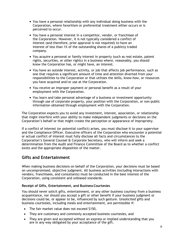- You have a personal relationship with any individual doing business with the Corporation, where favoritism or preferential treatment either occurs or is perceived to occur.
- You have a personal interest in a competitor, vendor, or franchisee of the Corporation. However, it is not typically considered a conflict of interest (and therefore, prior approval is not required) to have an interest of less than 1% of the outstanding shares of a publicly traded company.
- You acquire a personal or family interest in property (such as real estate, patent rights, securities, or other rights) in a business where, reasonably, you should know the Corporation has, or might have, an interest.
- You have an outside interest, activity, or job that affects job performance, such as one that requires a significant amount of time and attention diverted from your responsibilities to the Corporation or that utilizes the skills, know-how, or resources you have acquired and/or use at the Corporation.
- You receive an improper payment or personal benefit as a result of your employment with the Corporation.
- You learn and take personal advantage of a business or investment opportunity through use of corporate property, your position with the Corporation, or non-public information obtained through employment with the Corporation.

The Corporation expects you to avoid any investment, interest, association, or relationship that might interfere with your ability to make independent judgments or decisions on the Corporation's behalf or that might create the perception or appearance of impropriety.

If a conflict of interest (or potential conflict) arises, you must disclose it to your supervisor and the Compliance Officer. Executive officers of the Corporation who encounter a potential or actual conflict of interest must fully disclose all facts and circumstances to the Corporation's General Counsel & Corporate Secretary, who will inform and seek a determination from the Audit and Finance Committee of the Board as to whether a conflict exists and the appropriate disposition of the matter.

# <span id="page-8-0"></span>**Gifts and Entertainment**

When making business decisions on behalf of the Corporation, your decisions must be based on uncompromised, objective judgment. All business activities (including interactions with vendors, franchisees, and consultants) must be conducted in the best interest of the Corporation, using consistent and unbiased standards.

#### <span id="page-8-1"></span>**Receipt of Gifts, Entertainment, and BusinessCourtesies**

You should never solicit gifts, entertainment, or any other business courtesy from a business acquaintance, nor should you accept a gift or other benefit if your business judgment or decisions could be, or appear to be, influenced by such gesture. Unsolicited gifts and business courtesies, including meals and entertainment, are permissible if:

- The fair market value does not exceed \$150,
- They are customary and commonly accepted business courtesies, and
- They are given and accepted without an express or implied understanding that you are in any way obligated by your acceptance of the gift.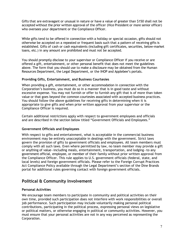Gifts that are extravagant or unusual in nature or have a value of greater than \$150 shall not be accepted without the prior written approval of the officer (Vice President or more senior officer) who oversees your department or the Compliance Officer.

While gifts tend to be offered in connection with a holiday or special occasion, gifts should not otherwise be accepted on a repeated or frequent basis such that a pattern of receiving gifts is established. Gifts of cash or cash equivalents (including gift certificates, securities, below-market loans, etc.) in any amount are prohibited and must not be accepted.

You should promptly disclose to your supervisor or Compliance Officer if you receive or are offered a gift, entertainment, or other personal benefit that does not meet the guidelines above. The form that you should use to make a disclosure may be obtained from the Human Resources Department, the Legal Department, or the IHOP and Applebee's portals.

#### <span id="page-9-0"></span>**Providing Gifts, Entertainment, and Business Courtesies**

When providing a gift, entertainment, or other accommodation in connection with the Corporation's business, you must do so in a manner that is in good taste and without excessive expense. You may not furnish or offer to furnish any gift that is of more than token value or that goes beyond the common courtesies associated with accepted business practices. You should follow the above guidelines for receiving gifts in determining when it is appropriate to give gifts and when prior written approval from your supervisor or the Compliance Officer is required.

Certain additional restrictions apply with respect to government employees and officials and are described in the section below titled "Government Officials and Employees."

#### <span id="page-9-1"></span>**Government Officials and Employees**

With respect to gifts and entertainment, what is acceptable in the commercial business environment may be entirely unacceptable in dealings with the government. Strict laws govern the provision of gifts to government officials and employees. All team members must comply with all such laws. Even where permitted by law, no team member may provide a gift or anything of value—including meals, entertainment, transportation, and lodging—to any government official, employee, or member of their family without prior written approval from the Compliance Officer. This rule applies to U.S. government officials (federal, state, and local levels) and foreign government officials. Please refer to the Foreign Corrupt Practices Act Compliance Policy available through the Legal Department's section of the Dine Brands portal for additional rules governing contact with foreign government officials.

# <span id="page-9-2"></span>**Political & Community Involvement**

#### <span id="page-9-3"></span>**Personal Activities**

We encourage team members to participate in community and political activities on their own time, provided such participation does not interfere with work responsibilities or overall job performance. Such participation may include voluntarily making personal political contributions, participating in the political process, expressing personal views on legislative or political matters, or otherwise engaging in political or community activities. However, you must ensure that your personal activities are not in any way perceived as representing the Corporation.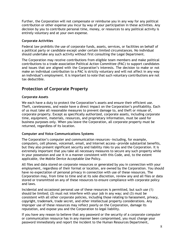Further, the Corporation will not compensate or reimburse you in any way for any political contribution or other expense you incur by way of your participation in these activities. Any decision by you to contribute personal time, money, or resources to any political activity is entirely voluntary and at your own expense.

#### <span id="page-10-0"></span>**Corporate Activities**

Federal law prohibits the use of corporate funds, assets, services, or facilities on behalf of a political party or candidate except under certain limited circumstances. No individual should undertake any such activity without first consulting the Legal Department.

The Corporation may receive contributions from eligible team members and make political contributions to a trade association Political Action Committee (PAC) to support candidates and issues that are aligned with the Corporation's interests. The decision to make or not make an individual contribution to a PAC is strictly voluntary and will not affect in any way an individual's employment. It is important to note that such voluntary contributions are not tax deductible.

# <span id="page-10-1"></span>**Protection of Corporate Property**

#### <span id="page-10-2"></span>**Corporate Assets**

We each have a duty to protect the Corporation's assets and ensure their efficient use. Theft, carelessness, and waste have a direct impact on the Corporation's profitability. Each of us must take all reasonable measures to prevent damage to, and theft or misuse of, corporate property. Except as specifically authorized, corporate assets, including corporate time, equipment, materials, resources, and proprietary information, must be used for business purposes only. When you leave the Corporation, all corporate property must be returned, regardless of its location.

#### <span id="page-10-3"></span>**Computer and Voice Communications Systems**

The Corporation's computer and communication resources—including, for example, computers, cell phones, voicemail, email, and Internet access—provide substantial benefits, but they also present significant security and liability risks to you and the Corporation. It is extremely important that you take all necessary measures to secure any such property while in your possession and use it in a manner consistent with this Code, and, to the extent applicable, the Mobile Device Acceptable Use Policy.

All files and data stored on corporate resources or generated by you in connection with your employment, regardless of their format or location, are owned by the Corporation. You should have no expectation of personal privacy in connection with use of these resources. The Corporation may, from time to time and at its sole discretion, review any and all files or data stored or transmitted on any of these resources to ensure compliance with corporate policy and laws.

Incidental and occasional personal use of these resources is permitted, but such use (1) should be limited; (2) must not interfere with your job in any way; and (3) must be consistent with all other corporate policies, including those relating to harassment, privacy, copyright, trademark, trade secret, and other intellectual property considerations. Any improper use of these resources may reflect poorly on the Corporation, damage its reputation, and expose you and the Corporation to legal liability.

If you have any reason to believe that any password or the security of a corporate computer or communication resource has in any manner been compromised, you must change your password immediately and report the incident to the Human Resources Department,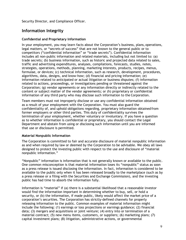Security Director, and Compliance Officer.

# <span id="page-11-0"></span>**Information Integrity**

#### <span id="page-11-1"></span>**Confidential and Proprietary Information**

In your employment, you may learn facts about the Corporation's business, plans, operations, legal matters, or "secrets of success" that are not known to the general public or to competitors ("confidential information" or "trade secrets"). Confidential information includes all non-public information and related materials, including but not limited to: (a) trade secrets; (b) business information, such as historic and projected data related to sales, traffic and advertising expenditures, analyses, compilations, forecasts, studies, notes, strategies, operations, methods, planning, marketing interests, products, recipes, menus, formulae, or devices; (c) technical information, such as research, development, procedures, algorithms, data, designs, and know-how; (d) financial and pricing information; (e) information related to anticipated or actual litigation or business disputes; (f) information related to actions, proceedings, or investigations pending or threatened against the Corporation; (g) vendor agreements or any information directly or indirectly related to the content or subject matter of the vendor agreements; or (h) proprietary or confidential information of any third party who may disclose such information to the Corporation.

Team members must not improperly disclose or use any confidential information obtained as a result of your employment with the Corporation. You must also guard the confidentiality of, and uphold obligations regarding, proprietary information obtainedfrom former employers or other third parties. This duty of confidentiality survives the termination of your employment, whether voluntary or involuntary. If you have a question as to whether information is confidential or proprietary, you should contact the Legal Department and abstain from using or disclosing such information until you are informed that use or disclosure is permitted.

#### <span id="page-11-2"></span>**Material Nonpublic Information**

The Corporation is committed to fair and accurate disclosure of material nonpublic information as and when required by law or deemed by the Corporation to be advisable. We obey all laws designed to protect the investing public with respect to the use and disclosure of "material nonpublic information."

"Nonpublic" information is information that is not generally known or available to the public. One common misconception is that material information loses its "nonpublic" status as soon as a press release is issued disclosing the information. In fact, information is considered to be available to the public only when it has been released broadly to the marketplace (such as by a press release or a filing with the Securities and Exchange Commission), and the investing public has had time to absorb the information fully.

Information is "material" if (a) there is a substantial likelihood that a reasonable investor would find the information important in determining whether to buy, sell, or hold a security, or (b) the information, if made public, likely would affect the market price of a corporation's securities. The Corporation has strictly-defined channels for properly releasing information to the public. Common examples of material information might include the following: (1) earnings or loss projections or earnings guidance; (2) financial data; (3) mergers and acquisitions or joint venture; (4) entry into or termination of a material contract; (5) new menu items, customers, or suppliers; (6) marketing plans; (7) capital investment plans; (8) litigation, administrative actions, or governmental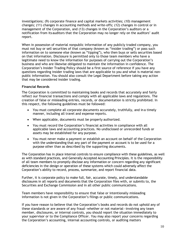investigations; (9) corporate finance and capital markets activities; (10) management changes; (11) changes in accounting methods and write-offs; (12) changes in control or in management of the Corporation, and (13) changes in the Corporation's auditors or a notification from itsauditors that the Corporation may no longer rely on the auditors' audit report.

When in possession of material nonpublic information of any publicly traded company, you must not buy or sell securities of that company (known as "insider trading") or pass such information on to someone else (known as "tipping"), who then buys or sells securities based on that information. Disclosure is permitted only to those team members who have a legitimate need to know the information for purposes of carrying out the Corporation's business and who are likewise obligated to maintain the information in confidence. The Corporation's Insider Trading Policy should be a first source of reference if you have any questions regarding insider trading laws that are applicable to you and what is material nonpublic information. You should also consult the Legal Department before taking any action that may be considered insider trading.

#### <span id="page-12-0"></span>**Financial Records**

The Corporation is committed to maintaining books and records that accurately and fairly reflect our financial transactions and comply with all applicable laws and regulations. The creation of false or misleading entries, records, or documentation is strictly prohibited. In this respect, the following guidelines must be followed:

- You must complete all corporate documents accurately, truthfully, and in a timely manner, including all travel and expense reports.
- When applicable, documents must be properly authorized.
- You must record the Corporation's financial activities in compliance with all applicable laws and accounting practices. No undisclosed or unrecorded funds or assets may be established for any purpose.
- You must never make a payment or establish an account on behalf of the Corporation with the understanding that any part of the payment or account is to be used for a purpose other than as described by the supporting documents.

The Corporation has in place internal controls to ensure compliance with these guidelines, as well as with standard practices, and Generally Accepted Accounting Principles. It is the responsibility of all team members to promptly disclose any information or concern regarding any significant deficiencies in the design or operation of these systems which could adversely affect the Corporation's ability to record, process, summarize, and report financial data.

Further, it is corporate policy to make full, fair, accurate, timely, and understandable disclosures in all reports and documents that the Corporation files with, or submits to, the Securities and Exchange Commission and in all other public communications.

Team members have responsibility to ensure that false or intentionally misleading information is not given in the Corporation's filings or public communications.

If you have reason to believe that the Corporation's books and records do not uphold any of these standards or are aware of any fraud—whether or not material—involving any team member, disclosures, or internal controls, you should report the situation immediately to your supervisor or to the Compliance Officer. You may also report your concerns regarding the Corporation's accounting, internal accounting controls, or auditing matters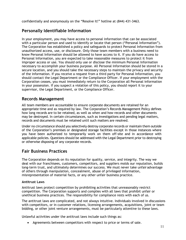confidentially and anonymously on the "Resolve It!" hotline at (844) 431-3463.

# <span id="page-13-0"></span>**Personally Identifiable Information**

In your employment, you may have access to personal information that can be associated with a particular person and used to identify or locate that person ("Personal Information"). The Corporation has established a policy and safeguards to protect Personal Information from unauthorized access, use, or disclosure. Only those team members with a business need to know Personal Information should be allowed to have access to it. If you do have access to Personal Information, you are expected to take reasonable measures to protect it from improper access or use. You should only use or disclose the minimum Personal Information necessary to accomplish your business purpose. All Personal Information should be stored in a secure location, and you should take the necessary steps to maintain the privacy and security of the information. If you receive a request from a third party for Personal Information, you should contact the Legal Department or the Compliance Officer. If your employment with the Corporation ceases, you must immediately return to the Corporation all Personal information in your possession. If you suspect a violation of this policy, you should report it to your supervisor, the Legal Department, or the Compliance Officer.

# <span id="page-13-1"></span>**Records Management**

All team members are accountable to ensure corporate documents are retained for an appropriate time and as required by law. The Corporation's Records Management Policy defines how long records are to be retained, as well as when and how records and other documents may be destroyed. In certain circumstances, such as investigations and pending legal matters, records and documents must be retained until such matters are resolved.

Under no circumstance should you selectively destroy corporate records or maintain them outside of the Corporation's premises or designated storage facilities except in those instances where you have been authorized to temporarily work on them off-site and in accordance with applicable policies. Questions should be addressed with the Legal Department prior to destroying or otherwise disposing of any corporate records.

# <span id="page-13-2"></span>**Fair Business Practices**

The Corporation depends on its reputation for quality, service, and integrity. The way we deal with our franchisees, customers, competitors, and suppliers molds our reputation, builds long-term trust, and ultimately determines our success. We must never take unfair advantage of others through manipulation, concealment, abuse of privileged information, misrepresentation of material facts, or any other unfair business practice.

#### <span id="page-13-3"></span>**Antitrust Laws**

Antitrust laws protect competition by prohibiting activities that unreasonably restrict competition. The Corporation supports and complies with all laws that prohibit unfair or unethical business practices. The responsibility for compliance rests with each of us.

The antitrust laws are complicated, and not always intuitive. Individuals involved in discussions with competitors, or in customer relations, licensing arrangements, acquisitions, joint or team bidding, or other joint venture arrangements, must be particularly attentive to these laws.

Unlawful activities under the antitrust laws include such things as:

• Agreements between competitors with respect to price or terms of sale.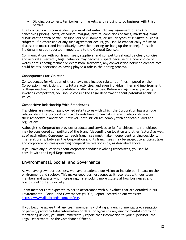• Dividing customers, territories, or markets, and refusing to do business with third parties.

In all contacts with competitors, you must not enter into any agreement of any kind concerning pricing, costs, discounts, margins, profits, conditions of sales, marketing plans, dissatisfaction with particular suppliers or customers, or similar types of sensitive business subjects. If a discussion of any such agreement occurs, you should emphatically refuse to discuss the matter and immediately leave the meeting (or hang up the phone). All such incidents must be reported immediately to the General Counsel.

Communications with our franchisees, suppliers, and competitors should be clear, concise, and accurate. Perfectly legal behavior may become suspect because of a poor choice of words or misleading manner or expression. Moreover, any conversation between competitors could be misunderstood as having played a role in the pricing process.

#### <span id="page-14-0"></span>**Consequences for Violation**

Consequences for violation of these laws may include substantial fines imposed on the Corporation, restrictions on its future activities, and even individual fines and imprisonment of those involved in or accountable for illegal activities. Before engaging in any activity involving competitors, you should consult the Legal Department about potential antitrust issues.

#### <span id="page-14-1"></span>**Competitive Relationship With Franchisees**

Franchises are non-company owned retail stores with which the Corporation has a unique relationship. The Corporation's two brands have somewhat different relationships with their respective franchisees; however, both structures comply with applicable laws and regulations.

Although the Corporation provides products and services to its franchisees, its franchisees may be considered competitors of the brand (depending on location and other factors) as well as of each other. Consequently, each franchisee must make independent pricing decisions. The relationship between the Corporation and its franchisees may be subject to antitrust laws and corporate policies governing competitive relationships, as described above.

If you have any questions about corporate conduct involving franchisees, you should consult with the Legal Department.

# <span id="page-14-2"></span>**Environmental, Social, and Governance**

As we have grown our business, we have broadened our vision to include our impact on the environment and society. This makes good business sense as it resonates with our team members and guests who, increasingly, are looking more closely at how businesses and brands contribute to society.

Team members are expected to act in accordance with our values that are detailed in our Environmental, Social, and Governance ("ESG") Report located on our website: [https://www.dinebrands.com/en/esg.](https://www.dinebrands.com/en/esg)

If you become aware that any team member is violating any environmental law, regulation, or permit, providing false information or data, or bypassing any environmental control or monitoring device, you must immediately report that information to your supervisor, the Legal Department, or the Compliance Officer.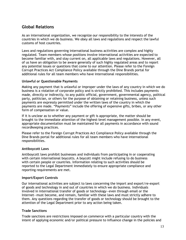# <span id="page-15-0"></span>**Global Relations**

As an international organization, we recognize our responsibility to the interests of the countries in which we do business. We obey all laws and regulations and respect the lawful customs of host countries.

Laws and regulations governing international business activities are complex and highly regulated. Team members whose positions involve international activities are expected to become familiar with, and stay current on, all applicable laws and regulations. However, all of us have an obligation to be aware generally of such highly regulated areas and to report any potential issues or questions that come to our attention. Please refer to the Foreign Corrupt Practices Act Compliance Policy available through the Dine Brands portal for additional rules for all team members who have international responsibilities.

#### <span id="page-15-1"></span>**Unlawful or Questionable Payments**

Making any payment that is unlawful or improper under the laws of any country in which we do business is a violation of corporate policy and is strictly prohibited. This includes payments made, directly or indirectly, to any public official, government, governmental agency, political party, politician, or others for the purpose of obtaining or retaining business, unless such payments are expressly permitted under the written laws of the country in which the payments are made. "Payments" include the offering of expensive gifts, bribes, or any other form of compensation or value.

If it is unclear as to whether any payment or gift is appropriate, the matter should be brought to the immediate attention of the highest-level management possible. In any event, appropriate documentation must be maintained for all payments in accordance with sound recordkeeping practices.

Please refer to the Foreign Corrupt Practices Act Compliance Policy available through the Dine Brands portal for additional rules for all team members who have international responsibilities.

#### <span id="page-15-2"></span>**Antiboycott Laws**

Antiboycott laws prohibit businesses and individuals from participating in or cooperating with certain international boycotts. A boycott might include refusing to do business with certain people or countries. Information relating to such activities should be reported to the Legal Department immediately to ensure appropriate compliance and reporting requirements are met.

#### <span id="page-15-3"></span>**Import/Export Controls**

Our international activities are subject to laws concerning the import and export/re-export of goods and technology in and out of countries in which we do business. Individuals involved in international transfer of goods or technology—even through email or the Internet—must become, and remain, familiar with these laws and must strictly adhere to them. Any questions regarding the transfer of goods or technology should be brought to the attention of the Legal Department prior to any action being taken.

#### <span id="page-15-4"></span>**Trade Sanctions**

Trade sanctions are restrictions imposed on commerce with a particular country with the intent of applying economic and/or political pressure to influence change in the policies and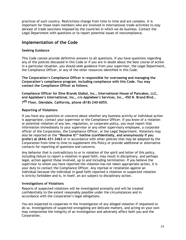practices of such country. Restrictions change from time to time and are complex. It is important for those team members who are involved in international trade activities to stay abreast of trade sanctions imposed by the countries in which we do business. Contact the Legal Department with questions or to report potential issues of noncompliance.

# <span id="page-16-0"></span>**Implementation of the Code**

#### <span id="page-16-1"></span>**Seeking Guidance**

This Code cannot provide definitive answers to all questions. If you have questions regarding any of the policies discussed in this Code or if you are in doubt about the best course of action in a particular situation, you should seek guidance from your supervisor, the Legal Department, the Compliance Officer, or any of the other resources identified in this Code.

**The Corporation's Compliance Officer is responsible for overseeing and managing the Corporation's compliance program, including compliance with this Code. You may contact the Compliance Officer as follows:**

**Compliance Officer for Dine Brands Global, Inc., International House of Pancakes, LLC, and Applebee's International, Inc., c/o Applebee's Services, Inc., 450 N. Brand Blvd., 7th Floor, Glendale, California, phone (818) 240-6055.**

#### <span id="page-16-2"></span>**Reporting of Violations**

If you have any questions or concerns about whether any business activity or individual action is appropriate, contact your supervisor or the Compliance Officer. If you know of a violation or potential violation of any law, regulation, or corporate policy, you must report that information immediately to your supervisor or any other supervisory employee, a corporate officer of the Corporation, the Compliance Officer, or the Legal Department. Violations may also be reported on the **"Resolve It!" hotline (confidentially, and anonymously if you prefer) at (844) 431-3463** or in accordance with other policies that may be adopted by the Corporation from time to time to supplement this Policy or provide additional or alternative contacts for reporting of questions and concerns.

Any behavior that is contradictory to or in violation of the spirit and letter of this policy, including failure to report a violation in good faith, may result in disciplinary, and perhaps legal, action against those involved, up to and including termination. If you believe the supervisor to whom you have reported the violation has not taken appropriate action, it is your duty to contact the Compliance Officer. Any reprisal or retaliation against an individual because the individual in good faith reported a violation or suspected violation is strictly forbidden and is, in itself, an act subject to disciplinary action.

#### <span id="page-16-3"></span>**Investigations of Violations**

Reports of suspected violations will be investigated promptly and will be treated confidentially to the extent reasonably possible under the circumstances and in accordance with the Corporation's legal obligations.

You are expected to cooperate in the investigation of any alleged violation if requested to do so. Investigations of suspected wrongdoing are delicate matters, and acting on your own may compromise the integrity of an investigation and adversely affect both you and the Corporation.